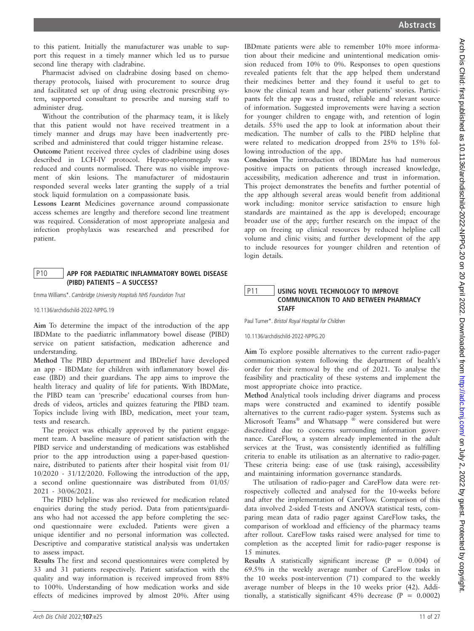to this patient. Initially the manufacturer was unable to support this request in a timely manner which led us to pursue second line therapy with cladrabine.

Pharmacist advised on cladrabine dosing based on chemotherapy protocols, liaised with procurement to source drug and facilitated set up of drug using electronic prescribing system, supported consultant to prescribe and nursing staff to administer drug.

Without the contribution of the pharmacy team, it is likely that this patient would not have received treatment in a timely manner and drugs may have been inadvertently prescribed and administered that could trigger histamine release.

Outcome Patient received three cycles of cladribine using doses described in LCH-IV protocol. Hepato-splenomegaly was reduced and counts normalised. There was no visible improvement of skin lesions. The manufacturer of midostaurin responded several weeks later granting the supply of a trial stock liquid formulation on a compassionate basis.

Lessons Learnt Medicines governance around compassionate access schemes are lengthy and therefore second line treatment was required. Consideration of most appropriate analgesia and infection prophylaxis was researched and prescribed for patient.

## P10 APP FOR PAEDIATRIC INFLAMMATORY BOWEL DISEASE (PIBD) PATIENTS – A SUCCESS?

Emma Williams\*. Cambridge University Hospitals NHS Foundation Trust

10.1136/archdischild-2022-NPPG.19

Aim To determine the impact of the introduction of the app IBDMate to the paediatric inflammatory bowel disease (PIBD) service on patient satisfaction, medication adherence and understanding.

Method The PIBD department and IBDrelief have developed an app - IBDMate for children with inflammatory bowel disease (IBD) and their guardians. The app aims to improve the health literacy and quality of life for patients. With IBDMate, the PIBD team can 'prescribe' educational courses from hundreds of videos, articles and quizzes featuring the PIBD team. Topics include living with IBD, medication, meet your team, tests and research.

The project was ethically approved by the patient engagement team. A baseline measure of patient satisfaction with the PIBD service and understanding of medications was established prior to the app introduction using a paper-based questionnaire, distributed to patients after their hospital visit from 01/ 10/2020 - 31/12/2020. Following the introduction of the app, a second online questionnaire was distributed from 01/05/ 2021 - 30/06/2021.

The PIBD helpline was also reviewed for medication related enquiries during the study period. Data from patients/guardians who had not accessed the app before completing the second questionnaire were excluded. Patients were given a unique identifier and no personal information was collected. Descriptive and comparative statistical analysis was undertaken to assess impact.

Results The first and second questionnaires were completed by 33 and 31 patients respectively. Patient satisfaction with the quality and way information is received improved from 88% to 100%. Understanding of how medication works and side effects of medicines improved by almost 20%. After using

IBDmate patients were able to remember 10% more information about their medicine and unintentional medication omission reduced from 10% to 0%. Responses to open questions revealed patients felt that the app helped them understand their medicines better and they found it useful to get to know the clinical team and hear other patients' stories. Participants felt the app was a trusted, reliable and relevant source of information. Suggested improvements were having a section for younger children to engage with, and retention of login details. 55% used the app to look at information about their medication. The number of calls to the PIBD helpline that were related to medication dropped from 25% to 15% following introduction of the app.

Conclusion The introduction of IBDMate has had numerous positive impacts on patients through increased knowledge, accessibility, medication adherence and trust in information. This project demonstrates the benefits and further potential of the app although several areas would benefit from additional work including: monitor service satisfaction to ensure high standards are maintained as the app is developed; encourage broader use of the app; further research on the impact of the app on freeing up clinical resources by reduced helpline call volume and clinic visits; and further development of the app to include resources for younger children and retention of login details.

## P11 | USING NOVEL TECHNOLOGY TO IMPROVE COMMUNICATION TO AND BETWEEN PHARMACY **STAFF**

Paul Turner\*. Bristol Royal Hospital for Children

10.1136/archdischild-2022-NPPG.20

Aim To explore possible alternatives to the current radio-pager communication system following the department of health's order for their removal by the end of 2021. To analyse the feasibility and practicality of these systems and implement the most appropriate choice into practice.

Method Analytical tools including driver diagrams and process maps were constructed and examined to identify possible alternatives to the current radio-pager system. Systems such as Microsoft Teams® and Whatsapp ® were considered but were discredited due to concerns surrounding information governance. CareFlow, a system already implemented in the adult services at the Trust, was consistently identified as fulfilling criteria to enable its utilisation as an alternative to radio-pager. These criteria being: ease of use (task raising), accessibility and maintaining information governance standards.

The utilisation of radio-pager and CareFlow data were retrospectively collected and analysed for the 10-weeks before and after the implementation of CareFlow. Comparison of this data involved 2-sided T-tests and ANOVA statistical tests, comparing mean data of radio pager against CareFlow tasks, the comparison of workload and efficiency of the pharmacy teams after rollout. CareFlow tasks raised were analysed for time to completion as the accepted limit for radio-pager response is 15 minutes.

Results A statistically significant increase  $(P = 0.004)$  of 69.5% in the weekly average number of CareFlow tasks in the 10 weeks post-intervention (71) compared to the weekly average number of bleeps in the 10 weeks prior (42). Additionally, a statistically significant  $45\%$  decrease (P = 0.0002)